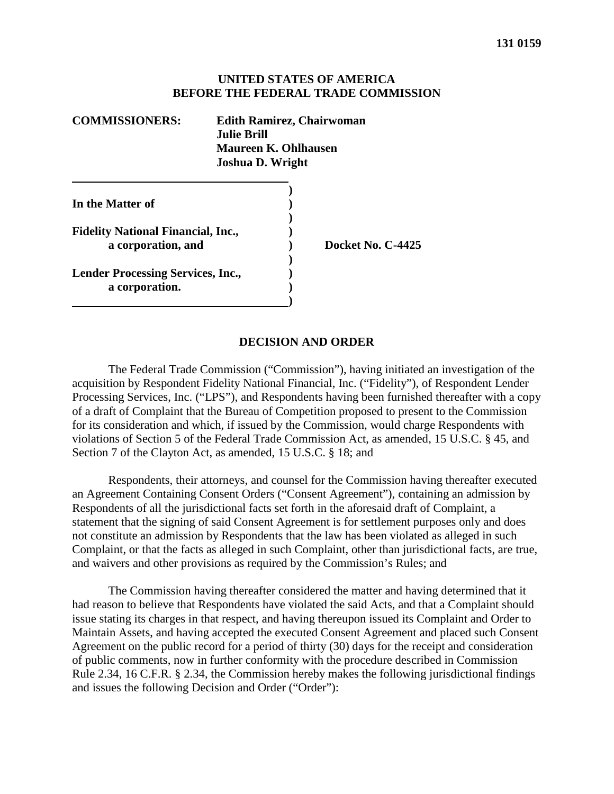#### **UNITED STATES OF AMERICA BEFORE THE FEDERAL TRADE COMMISSION**

| <b>COMMISSIONERS:</b>                                           | <b>Edith Ramirez, Chairwoman</b><br><b>Julie Brill</b><br>Maureen K. Ohlhausen<br>Joshua D. Wright |
|-----------------------------------------------------------------|----------------------------------------------------------------------------------------------------|
| In the Matter of                                                |                                                                                                    |
| <b>Fidelity National Financial, Inc.,</b><br>a corporation, and | Docket No. C-4425                                                                                  |
| <b>Lender Processing Services, Inc.,</b><br>a corporation.      |                                                                                                    |

#### **DECISION AND ORDER**

The Federal Trade Commission ("Commission"), having initiated an investigation of the acquisition by Respondent Fidelity National Financial, Inc. ("Fidelity"), of Respondent Lender Processing Services, Inc. ("LPS"), and Respondents having been furnished thereafter with a copy of a draft of Complaint that the Bureau of Competition proposed to present to the Commission for its consideration and which, if issued by the Commission, would charge Respondents with violations of Section 5 of the Federal Trade Commission Act, as amended, 15 U.S.C. § 45, and Section 7 of the Clayton Act, as amended, 15 U.S.C. § 18; and

Respondents, their attorneys, and counsel for the Commission having thereafter executed an Agreement Containing Consent Orders ("Consent Agreement"), containing an admission by Respondents of all the jurisdictional facts set forth in the aforesaid draft of Complaint, a statement that the signing of said Consent Agreement is for settlement purposes only and does not constitute an admission by Respondents that the law has been violated as alleged in such Complaint, or that the facts as alleged in such Complaint, other than jurisdictional facts, are true, and waivers and other provisions as required by the Commission's Rules; and

The Commission having thereafter considered the matter and having determined that it had reason to believe that Respondents have violated the said Acts, and that a Complaint should issue stating its charges in that respect, and having thereupon issued its Complaint and Order to Maintain Assets, and having accepted the executed Consent Agreement and placed such Consent Agreement on the public record for a period of thirty (30) days for the receipt and consideration of public comments, now in further conformity with the procedure described in Commission Rule 2.34, 16 C.F.R. § 2.34, the Commission hereby makes the following jurisdictional findings and issues the following Decision and Order ("Order"):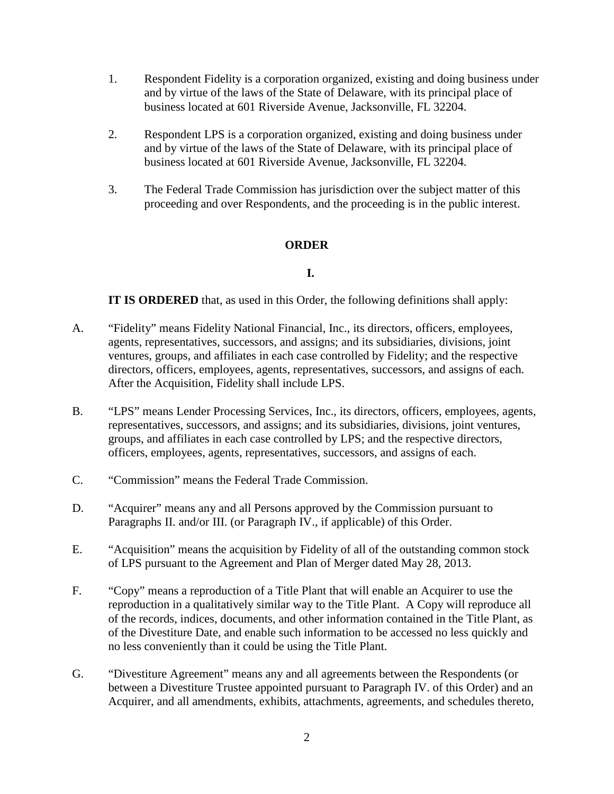- 1. Respondent Fidelity is a corporation organized, existing and doing business under and by virtue of the laws of the State of Delaware, with its principal place of business located at 601 Riverside Avenue, Jacksonville, FL 32204.
- 2. Respondent LPS is a corporation organized, existing and doing business under and by virtue of the laws of the State of Delaware, with its principal place of business located at 601 Riverside Avenue, Jacksonville, FL 32204.
- 3. The Federal Trade Commission has jurisdiction over the subject matter of this proceeding and over Respondents, and the proceeding is in the public interest.

## **ORDER**

## **I.**

**IT IS ORDERED** that, as used in this Order, the following definitions shall apply:

- A. "Fidelity" means Fidelity National Financial, Inc., its directors, officers, employees, agents, representatives, successors, and assigns; and its subsidiaries, divisions, joint ventures, groups, and affiliates in each case controlled by Fidelity; and the respective directors, officers, employees, agents, representatives, successors, and assigns of each. After the Acquisition, Fidelity shall include LPS.
- B. "LPS" means Lender Processing Services, Inc., its directors, officers, employees, agents, representatives, successors, and assigns; and its subsidiaries, divisions, joint ventures, groups, and affiliates in each case controlled by LPS; and the respective directors, officers, employees, agents, representatives, successors, and assigns of each.
- C. "Commission" means the Federal Trade Commission.
- D. "Acquirer" means any and all Persons approved by the Commission pursuant to Paragraphs II. and/or III. (or Paragraph IV., if applicable) of this Order.
- E. "Acquisition" means the acquisition by Fidelity of all of the outstanding common stock of LPS pursuant to the Agreement and Plan of Merger dated May 28, 2013.
- F. "Copy" means a reproduction of a Title Plant that will enable an Acquirer to use the reproduction in a qualitatively similar way to the Title Plant. A Copy will reproduce all of the records, indices, documents, and other information contained in the Title Plant, as of the Divestiture Date, and enable such information to be accessed no less quickly and no less conveniently than it could be using the Title Plant.
- G. "Divestiture Agreement" means any and all agreements between the Respondents (or between a Divestiture Trustee appointed pursuant to Paragraph IV. of this Order) and an Acquirer, and all amendments, exhibits, attachments, agreements, and schedules thereto,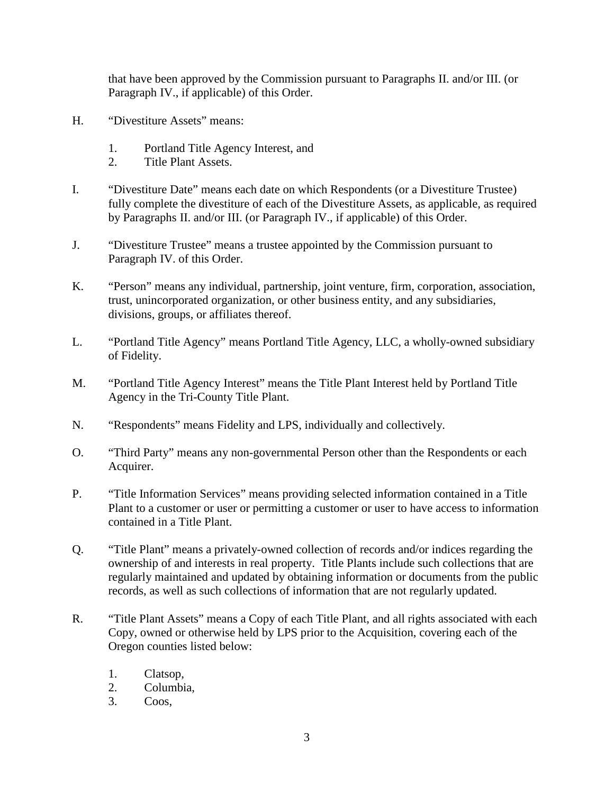that have been approved by the Commission pursuant to Paragraphs II. and/or III. (or Paragraph IV., if applicable) of this Order.

- H. "Divestiture Assets" means:
	- 1. Portland Title Agency Interest, and
	- 2. Title Plant Assets.
- I. "Divestiture Date" means each date on which Respondents (or a Divestiture Trustee) fully complete the divestiture of each of the Divestiture Assets, as applicable, as required by Paragraphs II. and/or III. (or Paragraph IV., if applicable) of this Order.
- J. "Divestiture Trustee" means a trustee appointed by the Commission pursuant to Paragraph IV. of this Order.
- K. "Person" means any individual, partnership, joint venture, firm, corporation, association, trust, unincorporated organization, or other business entity, and any subsidiaries, divisions, groups, or affiliates thereof.
- L. "Portland Title Agency" means Portland Title Agency, LLC, a wholly-owned subsidiary of Fidelity.
- M. "Portland Title Agency Interest" means the Title Plant Interest held by Portland Title Agency in the Tri-County Title Plant.
- N. "Respondents" means Fidelity and LPS, individually and collectively.
- O. "Third Party" means any non-governmental Person other than the Respondents or each Acquirer.
- P. "Title Information Services" means providing selected information contained in a Title Plant to a customer or user or permitting a customer or user to have access to information contained in a Title Plant.
- Q. "Title Plant" means a privately-owned collection of records and/or indices regarding the ownership of and interests in real property. Title Plants include such collections that are regularly maintained and updated by obtaining information or documents from the public records, as well as such collections of information that are not regularly updated.
- R. "Title Plant Assets" means a Copy of each Title Plant, and all rights associated with each Copy, owned or otherwise held by LPS prior to the Acquisition, covering each of the Oregon counties listed below:
	- 1. Clatsop,
	- 2. Columbia,
	- 3. Coos,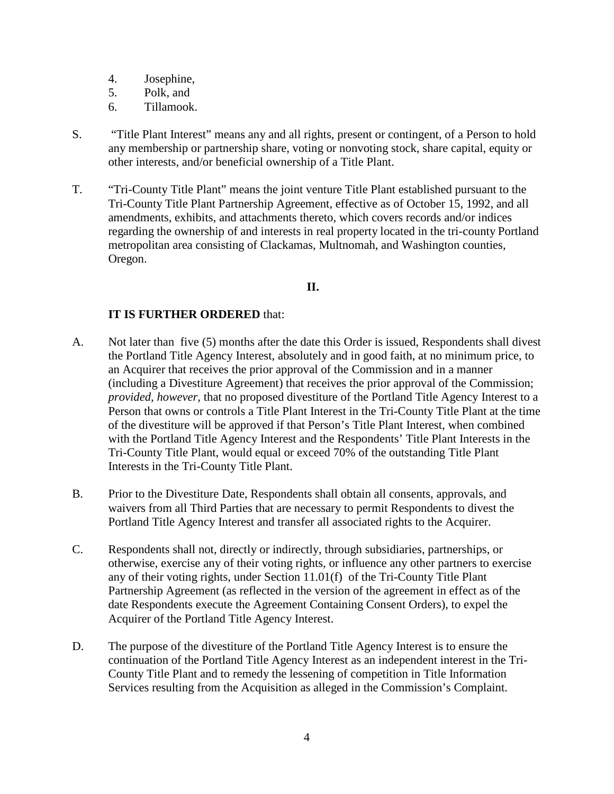- 4. Josephine,
- 5. Polk, and
- 6. Tillamook.
- S. "Title Plant Interest" means any and all rights, present or contingent, of a Person to hold any membership or partnership share, voting or nonvoting stock, share capital, equity or other interests, and/or beneficial ownership of a Title Plant.
- T. "Tri-County Title Plant" means the joint venture Title Plant established pursuant to the Tri-County Title Plant Partnership Agreement, effective as of October 15, 1992, and all amendments, exhibits, and attachments thereto, which covers records and/or indices regarding the ownership of and interests in real property located in the tri-county Portland metropolitan area consisting of Clackamas, Multnomah, and Washington counties, Oregon.

## **II.**

- A. Not later than five (5) months after the date this Order is issued, Respondents shall divest the Portland Title Agency Interest, absolutely and in good faith, at no minimum price, to an Acquirer that receives the prior approval of the Commission and in a manner (including a Divestiture Agreement) that receives the prior approval of the Commission; *provided, however,* that no proposed divestiture of the Portland Title Agency Interest to a Person that owns or controls a Title Plant Interest in the Tri-County Title Plant at the time of the divestiture will be approved if that Person's Title Plant Interest, when combined with the Portland Title Agency Interest and the Respondents' Title Plant Interests in the Tri-County Title Plant, would equal or exceed 70% of the outstanding Title Plant Interests in the Tri-County Title Plant.
- B. Prior to the Divestiture Date, Respondents shall obtain all consents, approvals, and waivers from all Third Parties that are necessary to permit Respondents to divest the Portland Title Agency Interest and transfer all associated rights to the Acquirer.
- C. Respondents shall not, directly or indirectly, through subsidiaries, partnerships, or otherwise, exercise any of their voting rights, or influence any other partners to exercise any of their voting rights, under Section 11.01(f) of the Tri-County Title Plant Partnership Agreement (as reflected in the version of the agreement in effect as of the date Respondents execute the Agreement Containing Consent Orders), to expel the Acquirer of the Portland Title Agency Interest.
- D. The purpose of the divestiture of the Portland Title Agency Interest is to ensure the continuation of the Portland Title Agency Interest as an independent interest in the Tri-County Title Plant and to remedy the lessening of competition in Title Information Services resulting from the Acquisition as alleged in the Commission's Complaint.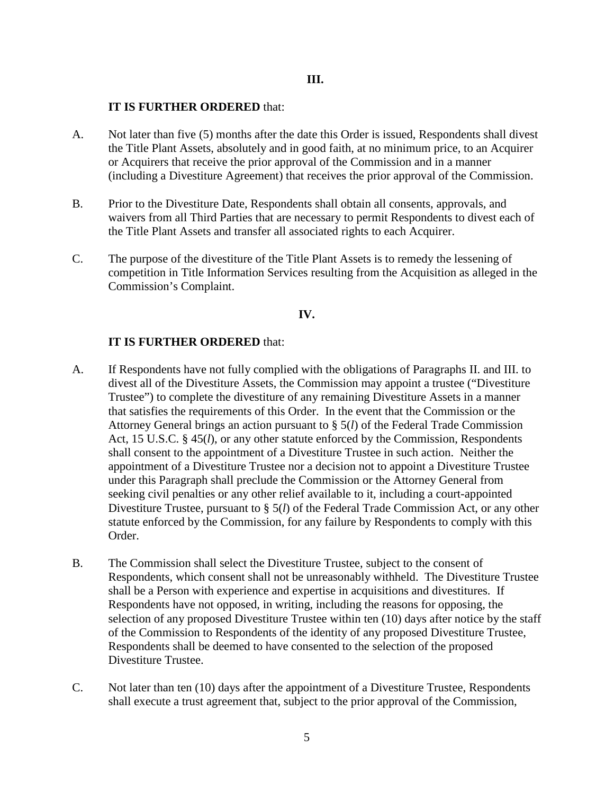#### **IT IS FURTHER ORDERED** that:

- A. Not later than five (5) months after the date this Order is issued, Respondents shall divest the Title Plant Assets, absolutely and in good faith, at no minimum price, to an Acquirer or Acquirers that receive the prior approval of the Commission and in a manner (including a Divestiture Agreement) that receives the prior approval of the Commission.
- B. Prior to the Divestiture Date, Respondents shall obtain all consents, approvals, and waivers from all Third Parties that are necessary to permit Respondents to divest each of the Title Plant Assets and transfer all associated rights to each Acquirer.
- C. The purpose of the divestiture of the Title Plant Assets is to remedy the lessening of competition in Title Information Services resulting from the Acquisition as alleged in the Commission's Complaint.

### **IV.**

- A. If Respondents have not fully complied with the obligations of Paragraphs II. and III. to divest all of the Divestiture Assets, the Commission may appoint a trustee ("Divestiture Trustee") to complete the divestiture of any remaining Divestiture Assets in a manner that satisfies the requirements of this Order. In the event that the Commission or the Attorney General brings an action pursuant to § 5(*l*) of the Federal Trade Commission Act, 15 U.S.C. § 45(*l*), or any other statute enforced by the Commission, Respondents shall consent to the appointment of a Divestiture Trustee in such action. Neither the appointment of a Divestiture Trustee nor a decision not to appoint a Divestiture Trustee under this Paragraph shall preclude the Commission or the Attorney General from seeking civil penalties or any other relief available to it, including a court-appointed Divestiture Trustee, pursuant to § 5(*l*) of the Federal Trade Commission Act, or any other statute enforced by the Commission, for any failure by Respondents to comply with this Order.
- B. The Commission shall select the Divestiture Trustee, subject to the consent of Respondents, which consent shall not be unreasonably withheld. The Divestiture Trustee shall be a Person with experience and expertise in acquisitions and divestitures. If Respondents have not opposed, in writing, including the reasons for opposing, the selection of any proposed Divestiture Trustee within ten (10) days after notice by the staff of the Commission to Respondents of the identity of any proposed Divestiture Trustee, Respondents shall be deemed to have consented to the selection of the proposed Divestiture Trustee.
- C. Not later than ten (10) days after the appointment of a Divestiture Trustee, Respondents shall execute a trust agreement that, subject to the prior approval of the Commission,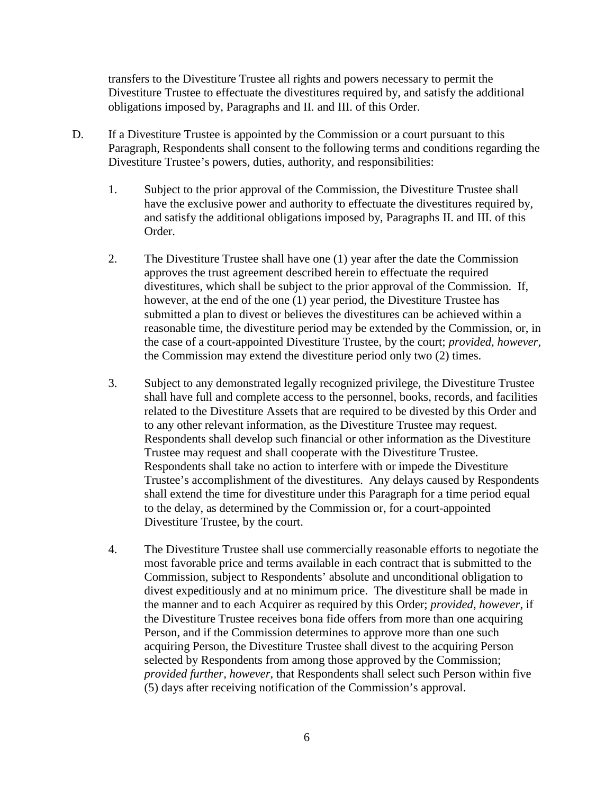transfers to the Divestiture Trustee all rights and powers necessary to permit the Divestiture Trustee to effectuate the divestitures required by, and satisfy the additional obligations imposed by, Paragraphs and II. and III. of this Order.

- D. If a Divestiture Trustee is appointed by the Commission or a court pursuant to this Paragraph, Respondents shall consent to the following terms and conditions regarding the Divestiture Trustee's powers, duties, authority, and responsibilities:
	- 1. Subject to the prior approval of the Commission, the Divestiture Trustee shall have the exclusive power and authority to effectuate the divestitures required by, and satisfy the additional obligations imposed by, Paragraphs II. and III. of this Order.
	- 2. The Divestiture Trustee shall have one (1) year after the date the Commission approves the trust agreement described herein to effectuate the required divestitures, which shall be subject to the prior approval of the Commission. If, however, at the end of the one (1) year period, the Divestiture Trustee has submitted a plan to divest or believes the divestitures can be achieved within a reasonable time, the divestiture period may be extended by the Commission, or, in the case of a court-appointed Divestiture Trustee, by the court; *provided, however,* the Commission may extend the divestiture period only two (2) times.
	- 3. Subject to any demonstrated legally recognized privilege, the Divestiture Trustee shall have full and complete access to the personnel, books, records, and facilities related to the Divestiture Assets that are required to be divested by this Order and to any other relevant information, as the Divestiture Trustee may request. Respondents shall develop such financial or other information as the Divestiture Trustee may request and shall cooperate with the Divestiture Trustee. Respondents shall take no action to interfere with or impede the Divestiture Trustee's accomplishment of the divestitures. Any delays caused by Respondents shall extend the time for divestiture under this Paragraph for a time period equal to the delay, as determined by the Commission or, for a court-appointed Divestiture Trustee, by the court.
	- 4. The Divestiture Trustee shall use commercially reasonable efforts to negotiate the most favorable price and terms available in each contract that is submitted to the Commission, subject to Respondents' absolute and unconditional obligation to divest expeditiously and at no minimum price. The divestiture shall be made in the manner and to each Acquirer as required by this Order; *provided, however*, if the Divestiture Trustee receives bona fide offers from more than one acquiring Person, and if the Commission determines to approve more than one such acquiring Person, the Divestiture Trustee shall divest to the acquiring Person selected by Respondents from among those approved by the Commission; *provided further, however*, that Respondents shall select such Person within five (5) days after receiving notification of the Commission's approval.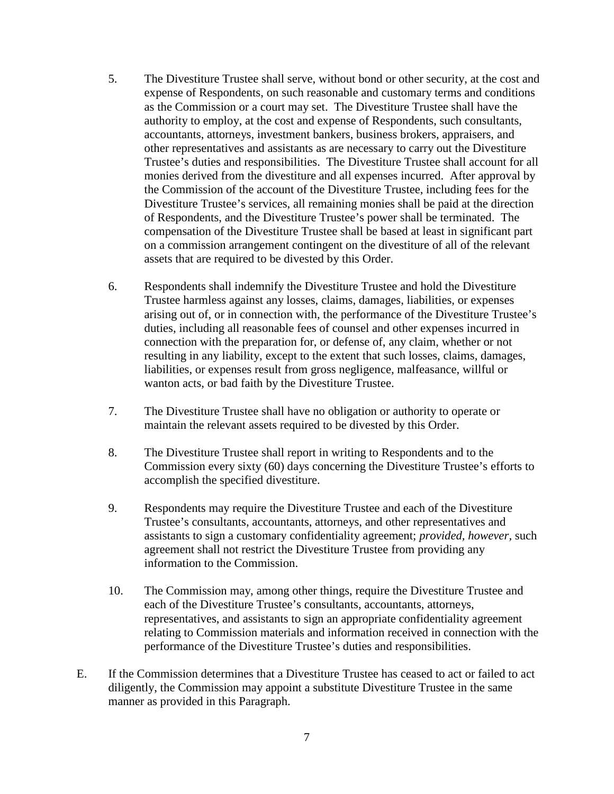- 5. The Divestiture Trustee shall serve, without bond or other security, at the cost and expense of Respondents, on such reasonable and customary terms and conditions as the Commission or a court may set. The Divestiture Trustee shall have the authority to employ, at the cost and expense of Respondents, such consultants, accountants, attorneys, investment bankers, business brokers, appraisers, and other representatives and assistants as are necessary to carry out the Divestiture Trustee's duties and responsibilities. The Divestiture Trustee shall account for all monies derived from the divestiture and all expenses incurred. After approval by the Commission of the account of the Divestiture Trustee, including fees for the Divestiture Trustee's services, all remaining monies shall be paid at the direction of Respondents, and the Divestiture Trustee's power shall be terminated. The compensation of the Divestiture Trustee shall be based at least in significant part on a commission arrangement contingent on the divestiture of all of the relevant assets that are required to be divested by this Order.
- 6. Respondents shall indemnify the Divestiture Trustee and hold the Divestiture Trustee harmless against any losses, claims, damages, liabilities, or expenses arising out of, or in connection with, the performance of the Divestiture Trustee's duties, including all reasonable fees of counsel and other expenses incurred in connection with the preparation for, or defense of, any claim, whether or not resulting in any liability, except to the extent that such losses, claims, damages, liabilities, or expenses result from gross negligence, malfeasance, willful or wanton acts, or bad faith by the Divestiture Trustee.
- 7. The Divestiture Trustee shall have no obligation or authority to operate or maintain the relevant assets required to be divested by this Order.
- 8. The Divestiture Trustee shall report in writing to Respondents and to the Commission every sixty (60) days concerning the Divestiture Trustee's efforts to accomplish the specified divestiture.
- 9. Respondents may require the Divestiture Trustee and each of the Divestiture Trustee's consultants, accountants, attorneys, and other representatives and assistants to sign a customary confidentiality agreement; *provided, however,* such agreement shall not restrict the Divestiture Trustee from providing any information to the Commission.
- 10. The Commission may, among other things, require the Divestiture Trustee and each of the Divestiture Trustee's consultants, accountants, attorneys, representatives, and assistants to sign an appropriate confidentiality agreement relating to Commission materials and information received in connection with the performance of the Divestiture Trustee's duties and responsibilities.
- E. If the Commission determines that a Divestiture Trustee has ceased to act or failed to act diligently, the Commission may appoint a substitute Divestiture Trustee in the same manner as provided in this Paragraph.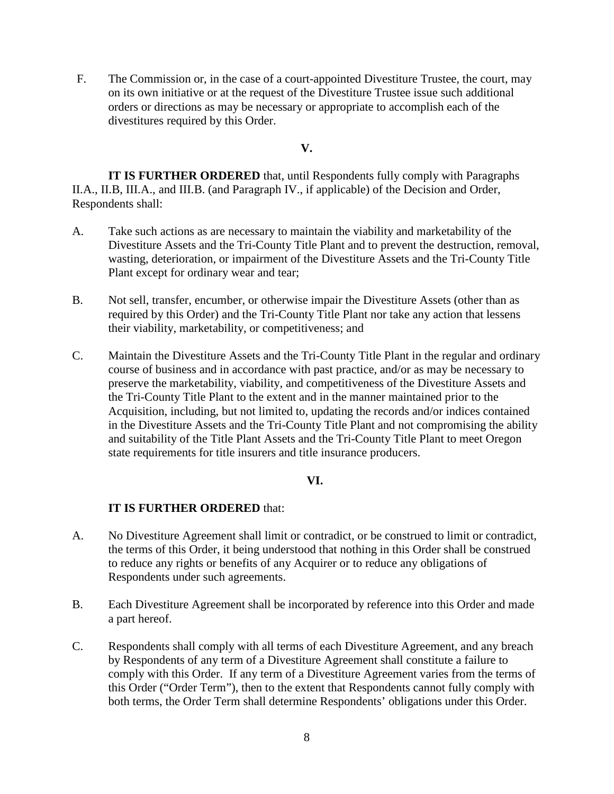F. The Commission or, in the case of a court-appointed Divestiture Trustee, the court, may on its own initiative or at the request of the Divestiture Trustee issue such additional orders or directions as may be necessary or appropriate to accomplish each of the divestitures required by this Order.

### **V.**

**IT IS FURTHER ORDERED** that, until Respondents fully comply with Paragraphs II.A., II.B, III.A., and III.B. (and Paragraph IV., if applicable) of the Decision and Order, Respondents shall:

- A. Take such actions as are necessary to maintain the viability and marketability of the Divestiture Assets and the Tri-County Title Plant and to prevent the destruction, removal, wasting, deterioration, or impairment of the Divestiture Assets and the Tri-County Title Plant except for ordinary wear and tear;
- B. Not sell, transfer, encumber, or otherwise impair the Divestiture Assets (other than as required by this Order) and the Tri-County Title Plant nor take any action that lessens their viability, marketability, or competitiveness; and
- C. Maintain the Divestiture Assets and the Tri-County Title Plant in the regular and ordinary course of business and in accordance with past practice, and/or as may be necessary to preserve the marketability, viability, and competitiveness of the Divestiture Assets and the Tri-County Title Plant to the extent and in the manner maintained prior to the Acquisition, including, but not limited to, updating the records and/or indices contained in the Divestiture Assets and the Tri-County Title Plant and not compromising the ability and suitability of the Title Plant Assets and the Tri-County Title Plant to meet Oregon state requirements for title insurers and title insurance producers.

### **VI.**

- A. No Divestiture Agreement shall limit or contradict, or be construed to limit or contradict, the terms of this Order, it being understood that nothing in this Order shall be construed to reduce any rights or benefits of any Acquirer or to reduce any obligations of Respondents under such agreements.
- B. Each Divestiture Agreement shall be incorporated by reference into this Order and made a part hereof.
- C. Respondents shall comply with all terms of each Divestiture Agreement, and any breach by Respondents of any term of a Divestiture Agreement shall constitute a failure to comply with this Order. If any term of a Divestiture Agreement varies from the terms of this Order ("Order Term"), then to the extent that Respondents cannot fully comply with both terms, the Order Term shall determine Respondents' obligations under this Order.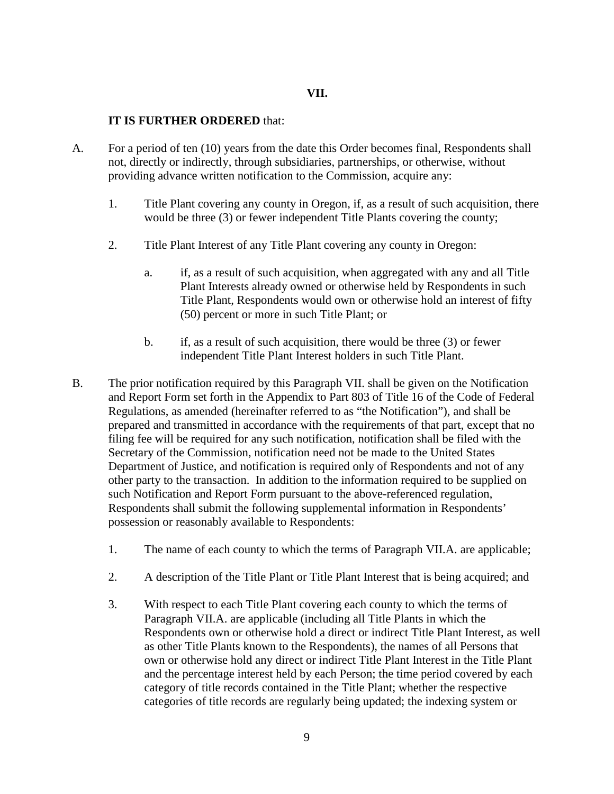- A. For a period of ten (10) years from the date this Order becomes final, Respondents shall not, directly or indirectly, through subsidiaries, partnerships, or otherwise, without providing advance written notification to the Commission, acquire any:
	- 1. Title Plant covering any county in Oregon, if, as a result of such acquisition, there would be three (3) or fewer independent Title Plants covering the county;
	- 2. Title Plant Interest of any Title Plant covering any county in Oregon:
		- a. if, as a result of such acquisition, when aggregated with any and all Title Plant Interests already owned or otherwise held by Respondents in such Title Plant, Respondents would own or otherwise hold an interest of fifty (50) percent or more in such Title Plant; or
		- b. if, as a result of such acquisition, there would be three (3) or fewer independent Title Plant Interest holders in such Title Plant.
- B. The prior notification required by this Paragraph VII. shall be given on the Notification and Report Form set forth in the Appendix to Part 803 of Title 16 of the Code of Federal Regulations, as amended (hereinafter referred to as "the Notification"), and shall be prepared and transmitted in accordance with the requirements of that part, except that no filing fee will be required for any such notification, notification shall be filed with the Secretary of the Commission, notification need not be made to the United States Department of Justice, and notification is required only of Respondents and not of any other party to the transaction. In addition to the information required to be supplied on such Notification and Report Form pursuant to the above-referenced regulation, Respondents shall submit the following supplemental information in Respondents' possession or reasonably available to Respondents:
	- 1. The name of each county to which the terms of Paragraph VII.A. are applicable;
	- 2. A description of the Title Plant or Title Plant Interest that is being acquired; and
	- 3. With respect to each Title Plant covering each county to which the terms of Paragraph VII.A. are applicable (including all Title Plants in which the Respondents own or otherwise hold a direct or indirect Title Plant Interest, as well as other Title Plants known to the Respondents), the names of all Persons that own or otherwise hold any direct or indirect Title Plant Interest in the Title Plant and the percentage interest held by each Person; the time period covered by each category of title records contained in the Title Plant; whether the respective categories of title records are regularly being updated; the indexing system or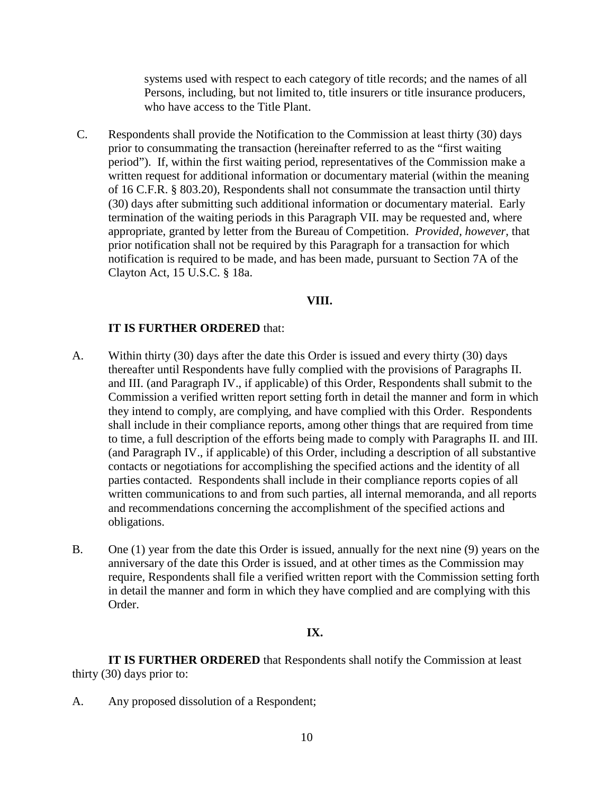systems used with respect to each category of title records; and the names of all Persons, including, but not limited to, title insurers or title insurance producers, who have access to the Title Plant.

C. Respondents shall provide the Notification to the Commission at least thirty (30) days prior to consummating the transaction (hereinafter referred to as the "first waiting period"). If, within the first waiting period, representatives of the Commission make a written request for additional information or documentary material (within the meaning of 16 C.F.R. § 803.20), Respondents shall not consummate the transaction until thirty (30) days after submitting such additional information or documentary material. Early termination of the waiting periods in this Paragraph VII. may be requested and, where appropriate, granted by letter from the Bureau of Competition. *Provided, however,* that prior notification shall not be required by this Paragraph for a transaction for which notification is required to be made, and has been made, pursuant to Section 7A of the Clayton Act, 15 U.S.C. § 18a.

### **VIII.**

### **IT IS FURTHER ORDERED** that:

- A. Within thirty (30) days after the date this Order is issued and every thirty (30) days thereafter until Respondents have fully complied with the provisions of Paragraphs II. and III. (and Paragraph IV., if applicable) of this Order, Respondents shall submit to the Commission a verified written report setting forth in detail the manner and form in which they intend to comply, are complying, and have complied with this Order. Respondents shall include in their compliance reports, among other things that are required from time to time, a full description of the efforts being made to comply with Paragraphs II. and III. (and Paragraph IV., if applicable) of this Order, including a description of all substantive contacts or negotiations for accomplishing the specified actions and the identity of all parties contacted. Respondents shall include in their compliance reports copies of all written communications to and from such parties, all internal memoranda, and all reports and recommendations concerning the accomplishment of the specified actions and obligations.
- B. One (1) year from the date this Order is issued, annually for the next nine (9) years on the anniversary of the date this Order is issued, and at other times as the Commission may require, Respondents shall file a verified written report with the Commission setting forth in detail the manner and form in which they have complied and are complying with this Order.

#### **IX.**

**IT IS FURTHER ORDERED** that Respondents shall notify the Commission at least thirty (30) days prior to:

A. Any proposed dissolution of a Respondent;